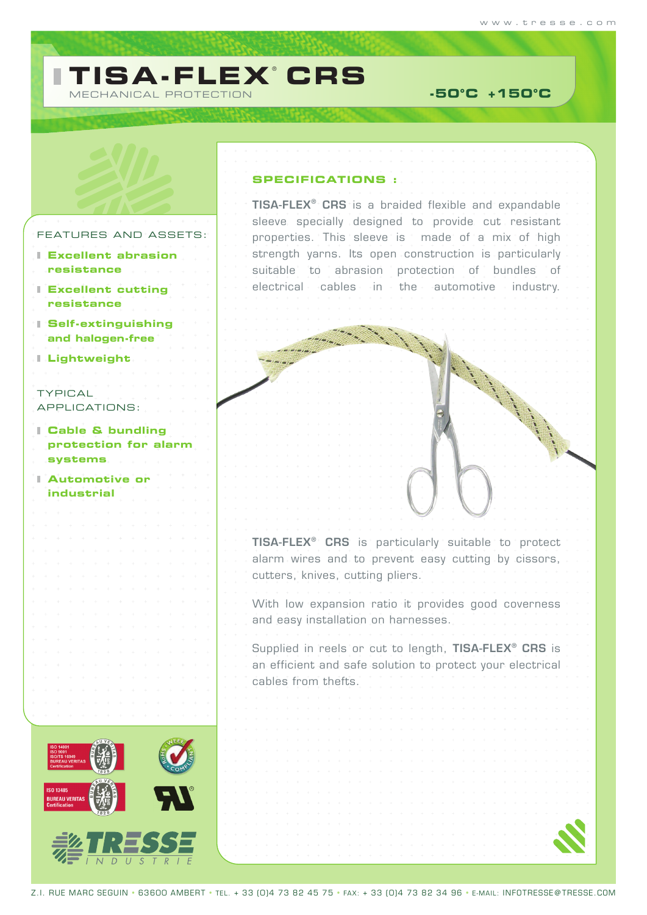